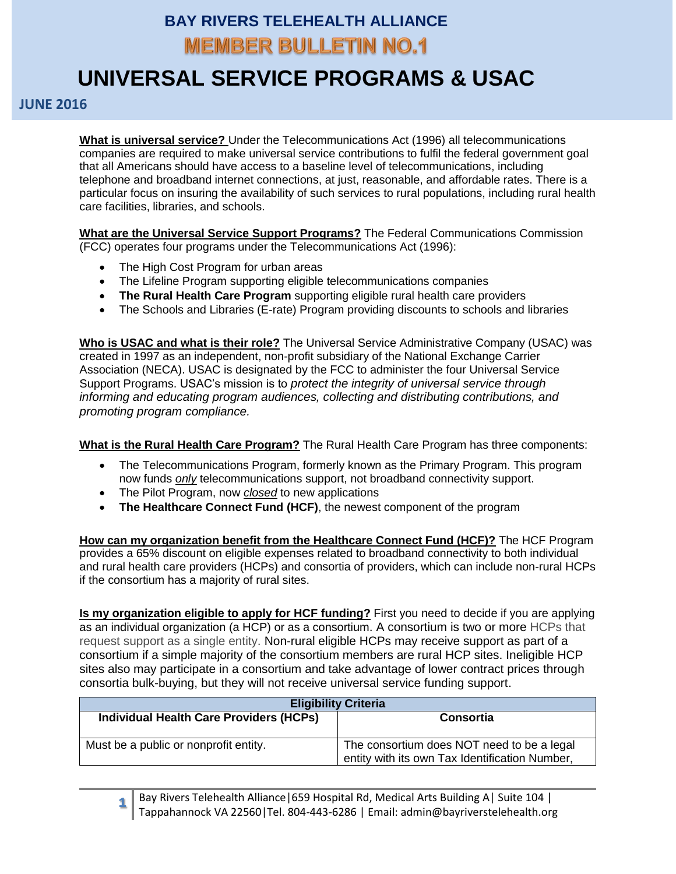## **BAY RIVERS TELEHEALTH ALLIANCE MEMBER BULLETIN NO.1**

## **UNIVERSAL SERVICE PROGRAMS & USAC**

## **JUNE 2016**

**What is universal service?** Under the Telecommunications Act (1996) all telecommunications companies are required to make universal service contributions to fulfil the federal government goal that all Americans should have access to a baseline level of telecommunications, including telephone and broadband internet connections, at just, reasonable, and affordable rates. There is a particular focus on insuring the availability of such services to rural populations, including rural health care facilities, libraries, and schools.

**What are the Universal Service Support Programs?** The Federal Communications Commission (FCC) operates four programs under the Telecommunications Act (1996):

- The High Cost Program for urban areas
- The Lifeline Program supporting eligible telecommunications companies
- **The Rural Health Care Program** supporting eligible rural health care providers
- The Schools and Libraries (E-rate) Program providing discounts to schools and libraries

**Who is USAC and what is their role?** The Universal Service Administrative Company (USAC) was created in 1997 as an independent, non-profit subsidiary of the National Exchange Carrier Association (NECA). USAC is designated by the FCC to administer the four Universal Service Support Programs. USAC's mission is to *protect the integrity of universal service through informing and educating program audiences, collecting and distributing contributions, and promoting program compliance.*

**What is the Rural Health Care Program?** The Rural Health Care Program has three components:

- The Telecommunications Program, formerly known as the Primary Program. This program now funds *only* telecommunications support, not broadband connectivity support.
- The Pilot Program, now *closed* to new applications
- **The Healthcare Connect Fund (HCF)**, the newest component of the program

**How can my organization benefit from the Healthcare Connect Fund (HCF)?** The HCF Program provides a 65% discount on eligible expenses related to broadband connectivity to both individual and rural health care providers (HCPs) and consortia of providers, which can include non-rural HCPs if the consortium has a majority of rural sites.

**Is my organization eligible to apply for HCF funding?** First you need to decide if you are applying as an individual organization (a HCP) or as a consortium. A consortium is two or more HCPs that request support as a single entity. Non-rural eligible HCPs may receive support as part of a consortium if a simple majority of the consortium members are rural HCP sites. Ineligible HCP sites also may participate in a consortium and take advantage of lower contract prices through consortia bulk-buying, but they will not receive universal service funding support.

| <b>Eligibility Criteria</b>                    |                                                                                              |
|------------------------------------------------|----------------------------------------------------------------------------------------------|
| <b>Individual Health Care Providers (HCPs)</b> | Consortia                                                                                    |
|                                                |                                                                                              |
| Must be a public or nonprofit entity.          | The consortium does NOT need to be a legal<br>entity with its own Tax Identification Number, |